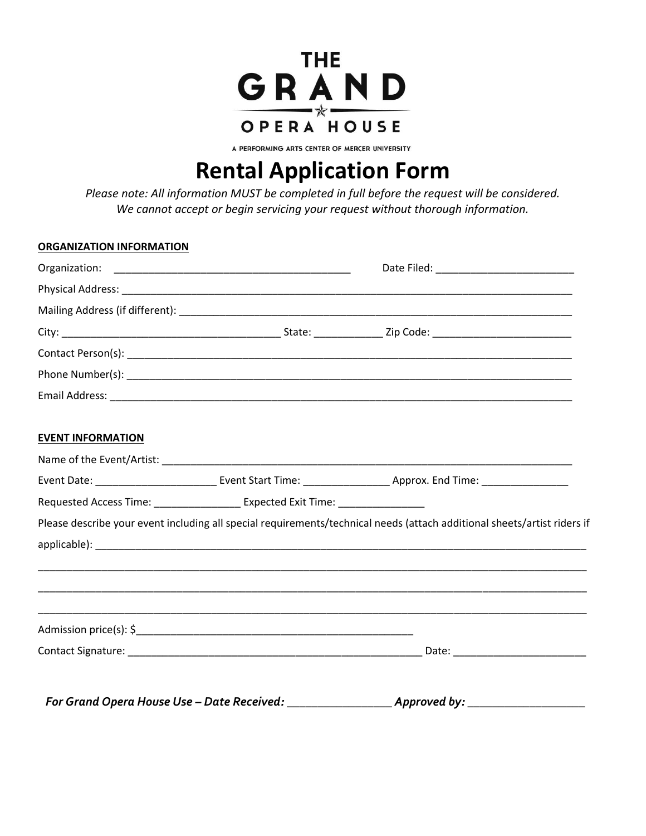

A PERFORMING ARTS CENTER OF MERCER UNIVERSITY

# **Rental Application Form**

*Please note: All information MUST be completed in full before the request will be considered. We cannot accept or begin servicing your request without thorough information.* 

| <b>ORGANIZATION INFORMATION</b> |                                                                                  |                                                                                                                          |  |
|---------------------------------|----------------------------------------------------------------------------------|--------------------------------------------------------------------------------------------------------------------------|--|
|                                 |                                                                                  |                                                                                                                          |  |
|                                 |                                                                                  |                                                                                                                          |  |
|                                 |                                                                                  |                                                                                                                          |  |
|                                 |                                                                                  |                                                                                                                          |  |
|                                 |                                                                                  |                                                                                                                          |  |
|                                 |                                                                                  |                                                                                                                          |  |
|                                 |                                                                                  |                                                                                                                          |  |
| <b>EVENT INFORMATION</b>        |                                                                                  |                                                                                                                          |  |
|                                 |                                                                                  |                                                                                                                          |  |
|                                 |                                                                                  |                                                                                                                          |  |
|                                 | Requested Access Time: ____________________ Expected Exit Time: ________________ |                                                                                                                          |  |
|                                 |                                                                                  | Please describe your event including all special requirements/technical needs (attach additional sheets/artist riders if |  |
|                                 |                                                                                  |                                                                                                                          |  |
|                                 |                                                                                  |                                                                                                                          |  |
|                                 |                                                                                  |                                                                                                                          |  |
|                                 |                                                                                  |                                                                                                                          |  |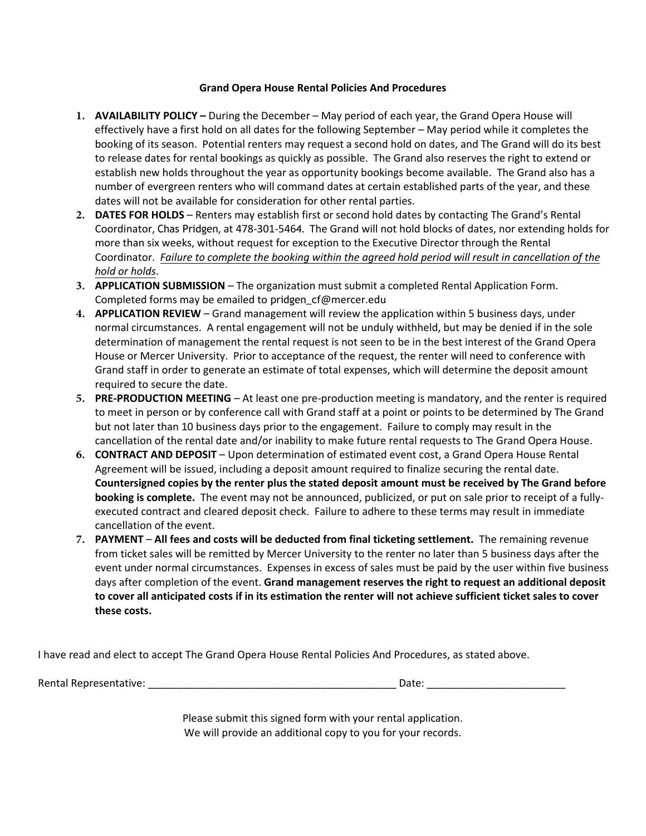# **Grand Opera House Rental Policies And Procedures**

- **1. AVAILABILITY POLICY –** During the December May period of each year, the Grand Opera House will effectively have a first hold on all dates for the following September – May period while it completes the booking of its season. Potential renters may request a second hold on dates, and The Grand will do its best to release dates for rental bookings as quickly as possible. The Grand also reserves the right to extend or establish new holds throughout the year as opportunity bookings become available. The Grand also has a number of evergreen renters who will command dates at certain established parts of the year, and these dates will not be available for consideration for other rental parties.
- **2. DATES FOR HOLDS**  Renters may establish first or second hold dates by contacting The Grand's Rental Coordinator, Chas Pridgen, at 478-301-5464. The Grand will not hold blocks of dates, nor extending holds for more than six weeks, without request for exception to the Executive Director through the Rental Coordinator. *Failure to complete the booking within the agreed hold period will result in cancellation of the hold or holds*.
- **3. APPLICATION SUBMISSION**  The organization must submit a completed Rental Application Form. Completed forms may be emailed to pridgen\_cf@mercer.edu
- **4. APPLICATION REVIEW** Grand management will review the application within 5 business days, under normal circumstances. A rental engagement will not be unduly withheld, but may be denied if in the sole determination of management the rental request is not seen to be in the best interest of the Grand Opera House or Mercer University. Prior to acceptance of the request, the renter will need to conference with Grand staff in order to generate an estimate of total expenses, which will determine the deposit amount required to secure the date.
- **5. PRE-PRODUCTION MEETING** At least one pre-production meeting is mandatory, and the renter is required to meet in person or by conference call with Grand staff at a point or points to be determined by The Grand but not later than 10 business days prior to the engagement. Failure to comply may result in the cancellation of the rental date and/or inability to make future rental requests to The Grand Opera House.
- **6. CONTRACT AND DEPOSIT** Upon determination of estimated event cost, a Grand Opera House Rental Agreement will be issued, including a deposit amount required to finalize securing the rental date. **Countersigned copies by the renter plus the stated deposit amount must be received by The Grand before booking is complete.** The event may not be announced, publicized, or put on sale prior to receipt of a fullyexecuted contract and cleared deposit check. Failure to adhere to these terms may result in immediate cancellation of the event.
- **7. PAYMENT All fees and costs will be deducted from final ticketing settlement.** The remaining revenue from ticket sales will be remitted by Mercer University to the renter no later than 5 business days after the event under normal circumstances. Expenses in excess of sales must be paid by the user within five business days after completion of the event. **Grand management reserves the right to request an additional deposit to cover all anticipated costs if in its estimation the renter will not achieve sufficient ticket sales to cover these costs.**

I have read and elect to accept The Grand Opera House Rental Policies And Procedures, as stated above.

Rental Representative: \_\_\_\_\_\_\_\_\_\_\_\_\_\_\_\_\_\_\_\_\_\_\_\_\_\_\_\_\_\_\_\_\_\_\_\_\_\_\_\_\_\_\_ Date: \_\_\_\_\_\_\_\_\_\_\_\_\_\_\_\_\_\_\_\_\_\_\_\_

Please submit this signed form with your rental application. We will provide an additional copy to you for your records.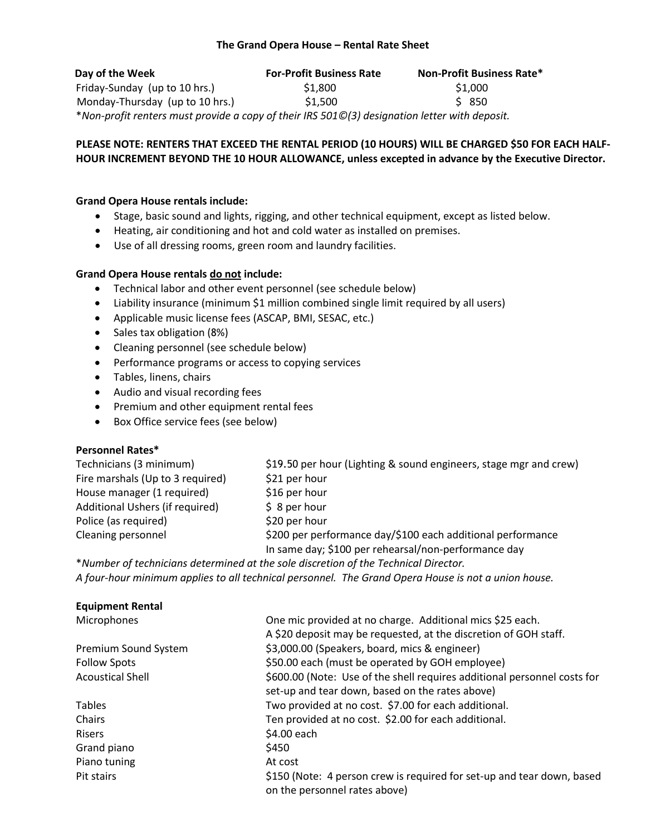# **The Grand Opera House – Rental Rate Sheet**

| Day of the Week                                                                               | <b>For-Profit Business Rate</b> | <b>Non-Profit Business Rate*</b> |
|-----------------------------------------------------------------------------------------------|---------------------------------|----------------------------------|
| Friday-Sunday (up to 10 hrs.)                                                                 | \$1,800                         | \$1,000                          |
| Monday-Thursday (up to 10 hrs.)                                                               | \$1.500                         | \$ 850                           |
| *Non-profit renters must provide a copy of their IRS 501©(3) designation letter with deposit. |                                 |                                  |

# **PLEASE NOTE: RENTERS THAT EXCEED THE RENTAL PERIOD (10 HOURS) WILL BE CHARGED \$50 FOR EACH HALF-HOUR INCREMENT BEYOND THE 10 HOUR ALLOWANCE, unless excepted in advance by the Executive Director.**

#### **Grand Opera House rentals include:**

- Stage, basic sound and lights, rigging, and other technical equipment, except as listed below.
- Heating, air conditioning and hot and cold water as installed on premises.
- Use of all dressing rooms, green room and laundry facilities.

# **Grand Opera House rentals do not include:**

- Technical labor and other event personnel (see schedule below)
- Liability insurance (minimum \$1 million combined single limit required by all users)
- Applicable music license fees (ASCAP, BMI, SESAC, etc.)
- Sales tax obligation (8%)
- Cleaning personnel (see schedule below)
- Performance programs or access to copying services
- Tables, linens, chairs
- Audio and visual recording fees
- Premium and other equipment rental fees
- Box Office service fees (see below)

# **Personnel Rates\***

Fire marshals (Up to 3 required)  $$21$  per hour House manager (1 required) \$16 per hour Additional Ushers (if required)  $\begin{array}{c} \S$  8 per hour Police (as required) \$20 per hour

Technicians (3 minimum) \$19.50 per hour (Lighting & sound engineers, stage mgr and crew) Cleaning personnel \$200 per performance day/\$100 each additional performance In same day; \$100 per rehearsal/non-performance day

\**Number of technicians determined at the sole discretion of the Technical Director. A four-hour minimum applies to all technical personnel. The Grand Opera House is not a union house.*

| <b>Equipment Rental</b> |                                                                          |
|-------------------------|--------------------------------------------------------------------------|
| Microphones             | One mic provided at no charge. Additional mics \$25 each.                |
|                         | A \$20 deposit may be requested, at the discretion of GOH staff.         |
| Premium Sound System    | \$3,000.00 (Speakers, board, mics & engineer)                            |
| <b>Follow Spots</b>     | \$50.00 each (must be operated by GOH employee)                          |
| <b>Acoustical Shell</b> | \$600.00 (Note: Use of the shell requires additional personnel costs for |
|                         | set-up and tear down, based on the rates above)                          |
| <b>Tables</b>           | Two provided at no cost. \$7.00 for each additional.                     |
| Chairs                  | Ten provided at no cost. \$2.00 for each additional.                     |
| <b>Risers</b>           | \$4.00 each                                                              |
| Grand piano             | \$450                                                                    |
| Piano tuning            | At cost                                                                  |
| Pit stairs              | \$150 (Note: 4 person crew is required for set-up and tear down, based   |
|                         | on the personnel rates above)                                            |